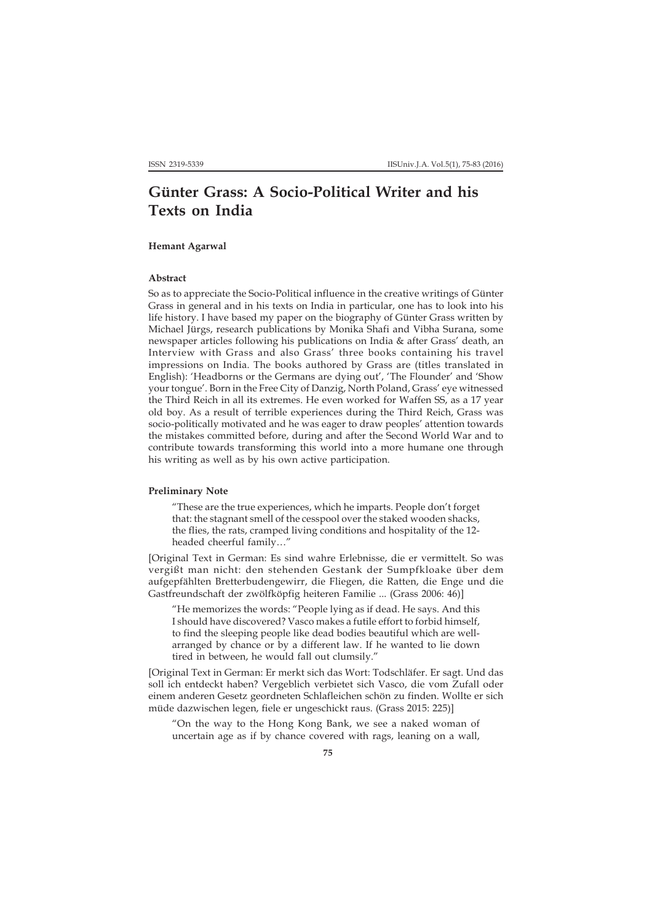# **Günter Grass: A Socio-Political Writer and his Texts on India**

## **Hemant Agarwal**

### **Abstract**

So as to appreciate the Socio-Political influence in the creative writings of Günter Grass in general and in his texts on India in particular, one has to look into his life history. I have based my paper on the biography of Günter Grass written by Michael Jürgs, research publications by Monika Shafi and Vibha Surana, some newspaper articles following his publications on India & after Grass' death, an Interview with Grass and also Grass' three books containing his travel impressions on India. The books authored by Grass are (titles translated in English): 'Headborns or the Germans are dying out', 'The Flounder' and 'Show your tongue'. Born in the Free City of Danzig, North Poland, Grass' eye witnessed the Third Reich in all its extremes. He even worked for Waffen SS, as a 17 year old boy. As a result of terrible experiences during the Third Reich, Grass was socio-politically motivated and he was eager to draw peoples' attention towards the mistakes committed before, during and after the Second World War and to contribute towards transforming this world into a more humane one through his writing as well as by his own active participation.

#### **Preliminary Note**

"These are the true experiences, which he imparts. People don't forget that: the stagnant smell of the cesspool over the staked wooden shacks, the flies, the rats, cramped living conditions and hospitality of the 12 headed cheerful family…"

[Original Text in German: Es sind wahre Erlebnisse, die er vermittelt. So was vergißt man nicht: den stehenden Gestank der Sumpfkloake über dem aufgepfählten Bretterbudengewirr, die Fliegen, die Ratten, die Enge und die Gastfreundschaft der zwölfköpfig heiteren Familie ... (Grass 2006: 46)]

"He memorizes the words: "People lying as if dead. He says. And this I should have discovered? Vasco makes a futile effort to forbid himself, to find the sleeping people like dead bodies beautiful which are wellarranged by chance or by a different law. If he wanted to lie down tired in between, he would fall out clumsily."

[Original Text in German: Er merkt sich das Wort: Todschläfer. Er sagt. Und das soll ich entdeckt haben? Vergeblich verbietet sich Vasco, die vom Zufall oder einem anderen Gesetz geordneten Schlafleichen schön zu finden. Wollte er sich müde dazwischen legen, fiele er ungeschickt raus. (Grass 2015: 225)]

"On the way to the Hong Kong Bank, we see a naked woman of uncertain age as if by chance covered with rags, leaning on a wall,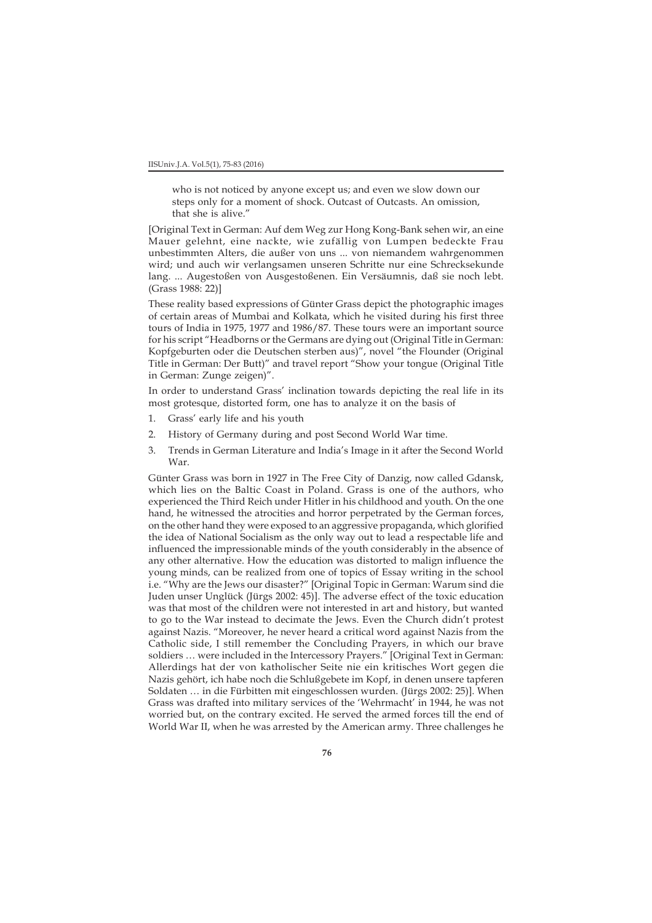who is not noticed by anyone except us; and even we slow down our steps only for a moment of shock. Outcast of Outcasts. An omission, that she is alive."

[Original Text in German: Auf dem Weg zur Hong Kong-Bank sehen wir, an eine Mauer gelehnt, eine nackte, wie zufällig von Lumpen bedeckte Frau unbestimmten Alters, die außer von uns ... von niemandem wahrgenommen wird; und auch wir verlangsamen unseren Schritte nur eine Schrecksekunde lang. ... Augestoßen von Ausgestoßenen. Ein Versäumnis, daß sie noch lebt. (Grass 1988: 22)]

These reality based expressions of Günter Grass depict the photographic images of certain areas of Mumbai and Kolkata, which he visited during his first three tours of India in 1975, 1977 and 1986/87. These tours were an important source for his script "Headborns or the Germans are dying out (Original Title in German: Kopfgeburten oder die Deutschen sterben aus)", novel "the Flounder (Original Title in German: Der Butt)" and travel report "Show your tongue (Original Title in German: Zunge zeigen)".

In order to understand Grass' inclination towards depicting the real life in its most grotesque, distorted form, one has to analyze it on the basis of

- 1. Grass' early life and his youth
- 2. History of Germany during and post Second World War time.
- 3. Trends in German Literature and India's Image in it after the Second World War.

Günter Grass was born in 1927 in The Free City of Danzig, now called Gdansk, which lies on the Baltic Coast in Poland. Grass is one of the authors, who experienced the Third Reich under Hitler in his childhood and youth. On the one hand, he witnessed the atrocities and horror perpetrated by the German forces, on the other hand they were exposed to an aggressive propaganda, which glorified the idea of National Socialism as the only way out to lead a respectable life and influenced the impressionable minds of the youth considerably in the absence of any other alternative. How the education was distorted to malign influence the young minds, can be realized from one of topics of Essay writing in the school i.e. "Why are the Jews our disaster?" [Original Topic in German: Warum sind die Juden unser Unglück (Jürgs 2002: 45)]. The adverse effect of the toxic education was that most of the children were not interested in art and history, but wanted to go to the War instead to decimate the Jews. Even the Church didn't protest against Nazis. "Moreover, he never heard a critical word against Nazis from the Catholic side, I still remember the Concluding Prayers, in which our brave soldiers … were included in the Intercessory Prayers." [Original Text in German: Allerdings hat der von katholischer Seite nie ein kritisches Wort gegen die Nazis gehört, ich habe noch die Schlußgebete im Kopf, in denen unsere tapferen Soldaten … in die Fürbitten mit eingeschlossen wurden. (Jürgs 2002: 25)]. When Grass was drafted into military services of the 'Wehrmacht' in 1944, he was not worried but, on the contrary excited. He served the armed forces till the end of World War II, when he was arrested by the American army. Three challenges he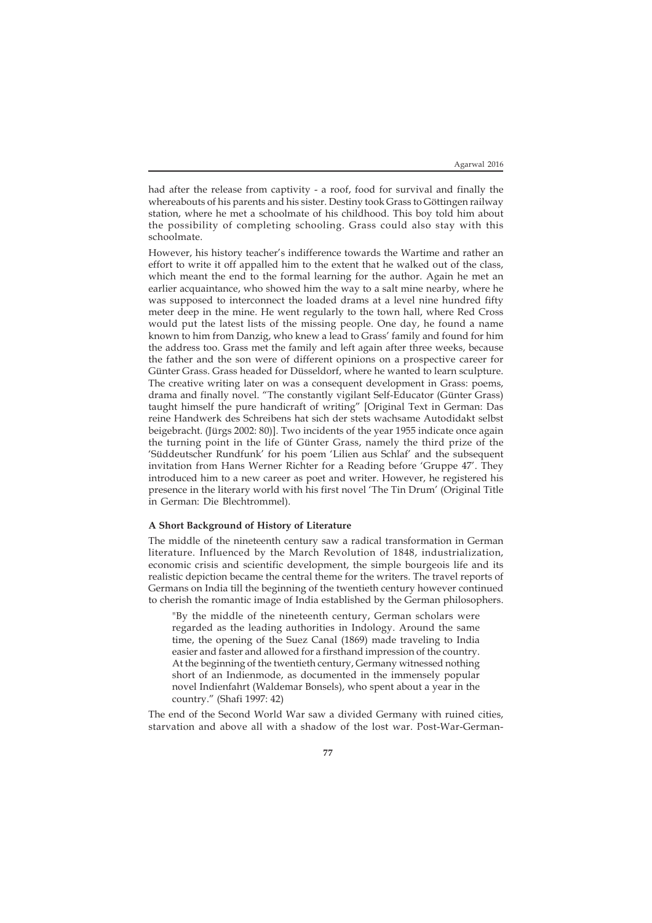had after the release from captivity - a roof, food for survival and finally the whereabouts of his parents and his sister. Destiny took Grass to Göttingen railway station, where he met a schoolmate of his childhood. This boy told him about the possibility of completing schooling. Grass could also stay with this schoolmate.

However, his history teacher's indifference towards the Wartime and rather an effort to write it off appalled him to the extent that he walked out of the class, which meant the end to the formal learning for the author. Again he met an earlier acquaintance, who showed him the way to a salt mine nearby, where he was supposed to interconnect the loaded drams at a level nine hundred fifty meter deep in the mine. He went regularly to the town hall, where Red Cross would put the latest lists of the missing people. One day, he found a name known to him from Danzig, who knew a lead to Grass' family and found for him the address too. Grass met the family and left again after three weeks, because the father and the son were of different opinions on a prospective career for Günter Grass. Grass headed for Düsseldorf, where he wanted to learn sculpture. The creative writing later on was a consequent development in Grass: poems, drama and finally novel. "The constantly vigilant Self-Educator (Günter Grass) taught himself the pure handicraft of writing" [Original Text in German: Das reine Handwerk des Schreibens hat sich der stets wachsame Autodidakt selbst beigebracht. (Jürgs 2002: 80)]. Two incidents of the year 1955 indicate once again the turning point in the life of Günter Grass, namely the third prize of the 'Süddeutscher Rundfunk' for his poem 'Lilien aus Schlaf' and the subsequent invitation from Hans Werner Richter for a Reading before 'Gruppe 47'. They introduced him to a new career as poet and writer. However, he registered his presence in the literary world with his first novel 'The Tin Drum' (Original Title in German: Die Blechtrommel).

#### **A Short Background of History of Literature**

The middle of the nineteenth century saw a radical transformation in German literature. Influenced by the March Revolution of 1848, industrialization, economic crisis and scientific development, the simple bourgeois life and its realistic depiction became the central theme for the writers. The travel reports of Germans on India till the beginning of the twentieth century however continued to cherish the romantic image of India established by the German philosophers.

"By the middle of the nineteenth century, German scholars were regarded as the leading authorities in Indology. Around the same time, the opening of the Suez Canal (1869) made traveling to India easier and faster and allowed for a firsthand impression of the country. At the beginning of the twentieth century, Germany witnessed nothing short of an Indienmode, as documented in the immensely popular novel Indienfahrt (Waldemar Bonsels), who spent about a year in the country." (Shafi 1997: 42)

The end of the Second World War saw a divided Germany with ruined cities, starvation and above all with a shadow of the lost war. Post-War-German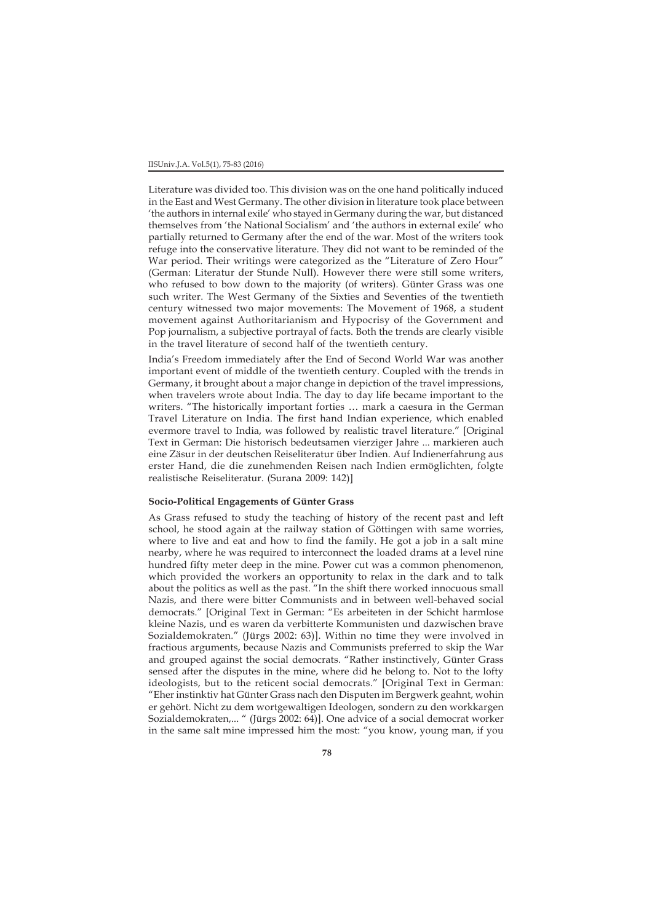Literature was divided too. This division was on the one hand politically induced in the East and West Germany. The other division in literature took place between 'the authors in internal exile' who stayed in Germany during the war, but distanced themselves from 'the National Socialism' and 'the authors in external exile' who partially returned to Germany after the end of the war. Most of the writers took refuge into the conservative literature. They did not want to be reminded of the War period. Their writings were categorized as the "Literature of Zero Hour" (German: Literatur der Stunde Null). However there were still some writers, who refused to bow down to the majority (of writers). Günter Grass was one such writer. The West Germany of the Sixties and Seventies of the twentieth century witnessed two major movements: The Movement of 1968, a student movement against Authoritarianism and Hypocrisy of the Government and Pop journalism, a subjective portrayal of facts. Both the trends are clearly visible in the travel literature of second half of the twentieth century.

India's Freedom immediately after the End of Second World War was another important event of middle of the twentieth century. Coupled with the trends in Germany, it brought about a major change in depiction of the travel impressions, when travelers wrote about India. The day to day life became important to the writers. "The historically important forties … mark a caesura in the German Travel Literature on India. The first hand Indian experience, which enabled evermore travel to India, was followed by realistic travel literature." [Original Text in German: Die historisch bedeutsamen vierziger Jahre ... markieren auch eine Zäsur in der deutschen Reiseliteratur über Indien. Auf Indienerfahrung aus erster Hand, die die zunehmenden Reisen nach Indien ermöglichten, folgte realistische Reiseliteratur. (Surana 2009: 142)]

#### **Socio-Political Engagements of Günter Grass**

As Grass refused to study the teaching of history of the recent past and left school, he stood again at the railway station of Göttingen with same worries, where to live and eat and how to find the family. He got a job in a salt mine nearby, where he was required to interconnect the loaded drams at a level nine hundred fifty meter deep in the mine. Power cut was a common phenomenon, which provided the workers an opportunity to relax in the dark and to talk about the politics as well as the past. "In the shift there worked innocuous small Nazis, and there were bitter Communists and in between well-behaved social democrats." [Original Text in German: "Es arbeiteten in der Schicht harmlose kleine Nazis, und es waren da verbitterte Kommunisten und dazwischen brave Sozialdemokraten." (Jürgs 2002: 63)]. Within no time they were involved in fractious arguments, because Nazis and Communists preferred to skip the War and grouped against the social democrats. "Rather instinctively, Günter Grass sensed after the disputes in the mine, where did he belong to. Not to the lofty ideologists, but to the reticent social democrats." [Original Text in German: "Eher instinktiv hat Günter Grass nach den Disputen im Bergwerk geahnt, wohin er gehört. Nicht zu dem wortgewaltigen Ideologen, sondern zu den workkargen Sozialdemokraten,... " (Jürgs 2002: 64)]. One advice of a social democrat worker in the same salt mine impressed him the most: "you know, young man, if you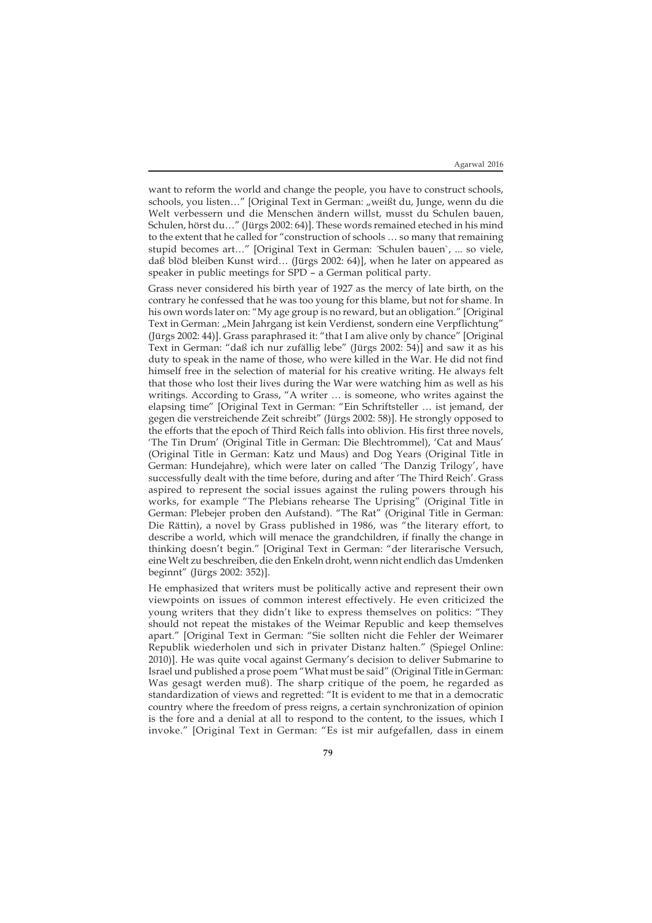want to reform the world and change the people, you have to construct schools, schools, you listen..." [Original Text in German: "weißt du, Junge, wenn du die Welt verbessern und die Menschen ändern willst, musst du Schulen bauen, Schulen, hörst du…" (Jürgs 2002: 64)]. These words remained eteched in his mind to the extent that he called for "construction of schools … so many that remaining stupid becomes art…" [Original Text in German: ´Schulen bauen`, ... so viele, daß blöd bleiben Kunst wird… (Jürgs 2002: 64)], when he later on appeared as speaker in public meetings for SPD – a German political party.

Grass never considered his birth year of 1927 as the mercy of late birth, on the contrary he confessed that he was too young for this blame, but not for shame. In his own words later on: "My age group is no reward, but an obligation." [Original Text in German: "Mein Jahrgang ist kein Verdienst, sondern eine Verpflichtung" (Jürgs 2002: 44)]. Grass paraphrased it: "that I am alive only by chance" [Original Text in German: "daß ich nur zufällig lebe" (Jürgs 2002: 54)] and saw it as his duty to speak in the name of those, who were killed in the War. He did not find himself free in the selection of material for his creative writing. He always felt that those who lost their lives during the War were watching him as well as his writings. According to Grass, "A writer … is someone, who writes against the elapsing time" [Original Text in German: "Ein Schriftsteller … ist jemand, der gegen die verstreichende Zeit schreibt" (Jürgs 2002: 58)]. He strongly opposed to the efforts that the epoch of Third Reich falls into oblivion. His first three novels, 'The Tin Drum' (Original Title in German: Die Blechtrommel), 'Cat and Maus' (Original Title in German: Katz und Maus) and Dog Years (Original Title in German: Hundejahre), which were later on called 'The Danzig Trilogy', have successfully dealt with the time before, during and after 'The Third Reich'. Grass aspired to represent the social issues against the ruling powers through his works, for example "The Plebians rehearse The Uprising" (Original Title in German: Plebejer proben den Aufstand). "The Rat" (Original Title in German: Die Rättin), a novel by Grass published in 1986, was "the literary effort, to describe a world, which will menace the grandchildren, if finally the change in thinking doesn't begin." [Original Text in German: "der literarische Versuch, eine Welt zu beschreiben, die den Enkeln droht, wenn nicht endlich das Umdenken beginnt" (Jürgs 2002: 352)].

He emphasized that writers must be politically active and represent their own viewpoints on issues of common interest effectively. He even criticized the young writers that they didn't like to express themselves on politics: "They should not repeat the mistakes of the Weimar Republic and keep themselves apart." [Original Text in German: "Sie sollten nicht die Fehler der Weimarer Republik wiederholen und sich in privater Distanz halten." (Spiegel Online: 2010)]. He was quite vocal against Germany's decision to deliver Submarine to Israel und published a prose poem "What must be said" (Original Title in German: Was gesagt werden muß). The sharp critique of the poem, he regarded as standardization of views and regretted: "It is evident to me that in a democratic country where the freedom of press reigns, a certain synchronization of opinion is the fore and a denial at all to respond to the content, to the issues, which I invoke." [Original Text in German: "Es ist mir aufgefallen, dass in einem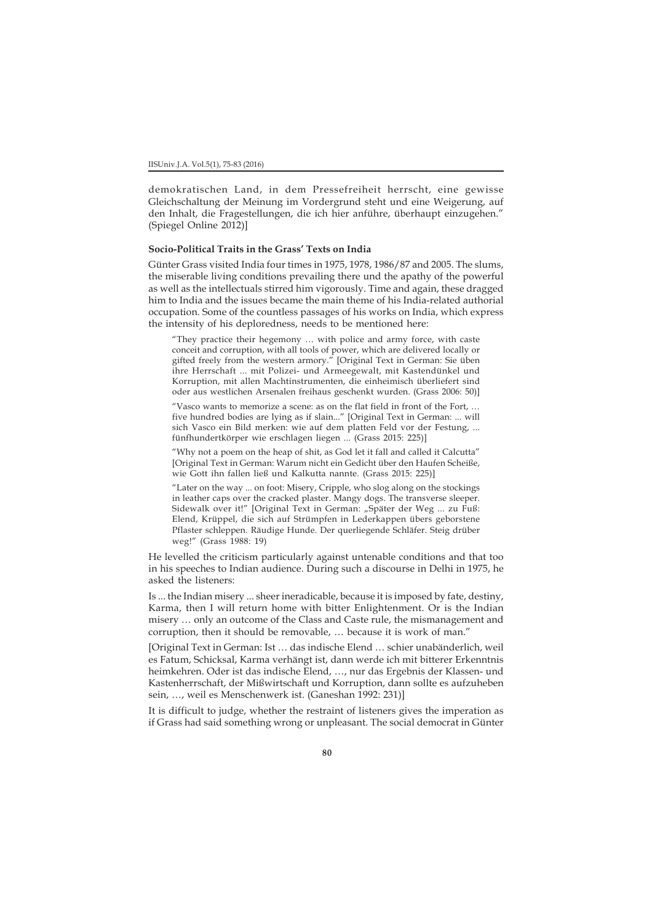demokratischen Land, in dem Pressefreiheit herrscht, eine gewisse Gleichschaltung der Meinung im Vordergrund steht und eine Weigerung, auf den Inhalt, die Fragestellungen, die ich hier anführe, überhaupt einzugehen." (Spiegel Online 2012)]

## **Socio-Political Traits in the Grass' Texts on India**

Günter Grass visited India four times in 1975, 1978, 1986/87 and 2005. The slums, the miserable living conditions prevailing there und the apathy of the powerful as well as the intellectuals stirred him vigorously. Time and again, these dragged him to India and the issues became the main theme of his India-related authorial occupation. Some of the countless passages of his works on India, which express the intensity of his deploredness, needs to be mentioned here:

"They practice their hegemony … with police and army force, with caste conceit and corruption, with all tools of power, which are delivered locally or gifted freely from the western armory." [Original Text in German: Sie üben ihre Herrschaft ... mit Polizei- und Armeegewalt, mit Kastendünkel und Korruption, mit allen Machtinstrumenten, die einheimisch überliefert sind oder aus westlichen Arsenalen freihaus geschenkt wurden. (Grass 2006: 50)]

"Vasco wants to memorize a scene: as on the flat field in front of the Fort, … five hundred bodies are lying as if slain..." [Original Text in German: ... will sich Vasco ein Bild merken: wie auf dem platten Feld vor der Festung, ... fünfhundertkörper wie erschlagen liegen ... (Grass 2015: 225)]

"Why not a poem on the heap of shit, as God let it fall and called it Calcutta" [Original Text in German: Warum nicht ein Gedicht über den Haufen Scheiße, wie Gott ihn fallen ließ und Kalkutta nannte. (Grass 2015: 225)]

"Later on the way ... on foot: Misery, Cripple, who slog along on the stockings in leather caps over the cracked plaster. Mangy dogs. The transverse sleeper. Sidewalk over it!" [Original Text in German: "Später der Weg ... zu Fuß: Elend, Krüppel, die sich auf Strümpfen in Lederkappen übers geborstene Pflaster schleppen. Räudige Hunde. Der querliegende Schläfer. Steig drüber weg!" (Grass 1988: 19)

He levelled the criticism particularly against untenable conditions and that too in his speeches to Indian audience. During such a discourse in Delhi in 1975, he asked the listeners:

Is ... the Indian misery ... sheer ineradicable, because it is imposed by fate, destiny, Karma, then I will return home with bitter Enlightenment. Or is the Indian misery … only an outcome of the Class and Caste rule, the mismanagement and corruption, then it should be removable, … because it is work of man."

[Original Text in German: Ist … das indische Elend … schier unabänderlich, weil es Fatum, Schicksal, Karma verhängt ist, dann werde ich mit bitterer Erkenntnis heimkehren. Oder ist das indische Elend, …, nur das Ergebnis der Klassen- und Kastenherrschaft, der Mißwirtschaft und Korruption, dann sollte es aufzuheben sein, …, weil es Menschenwerk ist. (Ganeshan 1992: 231)]

It is difficult to judge, whether the restraint of listeners gives the imperation as if Grass had said something wrong or unpleasant. The social democrat in Günter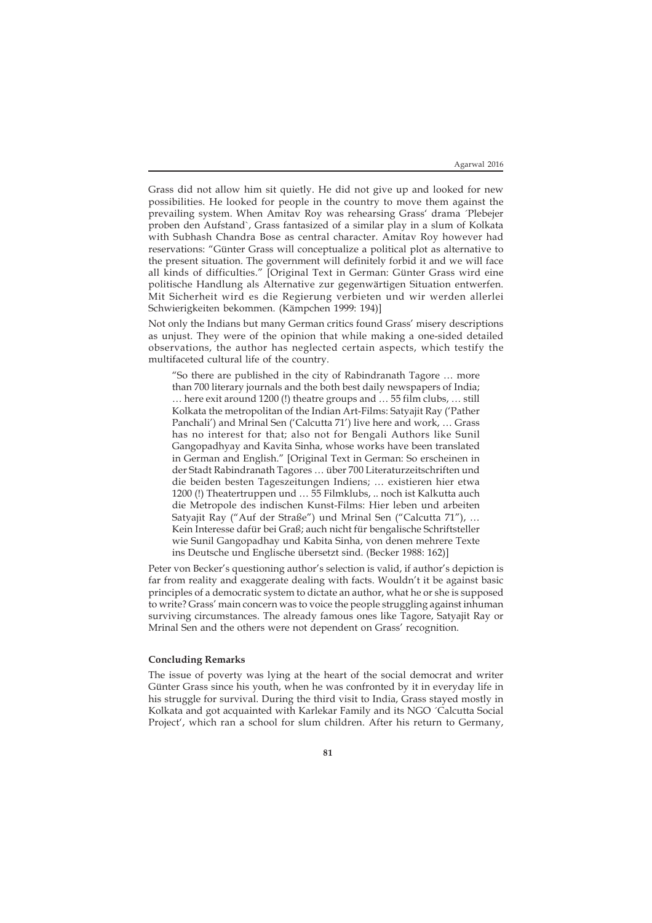Grass did not allow him sit quietly. He did not give up and looked for new possibilities. He looked for people in the country to move them against the prevailing system. When Amitav Roy was rehearsing Grass' drama ´Plebejer proben den Aufstand`, Grass fantasized of a similar play in a slum of Kolkata with Subhash Chandra Bose as central character. Amitav Roy however had reservations: "Günter Grass will conceptualize a political plot as alternative to the present situation. The government will definitely forbid it and we will face all kinds of difficulties." [Original Text in German: Günter Grass wird eine politische Handlung als Alternative zur gegenwärtigen Situation entwerfen. Mit Sicherheit wird es die Regierung verbieten und wir werden allerlei Schwierigkeiten bekommen. (Kämpchen 1999: 194)]

Not only the Indians but many German critics found Grass' misery descriptions as unjust. They were of the opinion that while making a one-sided detailed observations, the author has neglected certain aspects, which testify the multifaceted cultural life of the country.

"So there are published in the city of Rabindranath Tagore … more than 700 literary journals and the both best daily newspapers of India; … here exit around 1200 (!) theatre groups and … 55 film clubs, … still Kolkata the metropolitan of the Indian Art-Films: Satyajit Ray ('Pather Panchali') and Mrinal Sen ('Calcutta 71') live here and work, … Grass has no interest for that; also not for Bengali Authors like Sunil Gangopadhyay and Kavita Sinha, whose works have been translated in German and English." [Original Text in German: So erscheinen in der Stadt Rabindranath Tagores … über 700 Literaturzeitschriften und die beiden besten Tageszeitungen Indiens; … existieren hier etwa 1200 (!) Theatertruppen und … 55 Filmklubs, .. noch ist Kalkutta auch die Metropole des indischen Kunst-Films: Hier leben und arbeiten Satyajit Ray ("Auf der Straße") und Mrinal Sen ("Calcutta 71"), … Kein Interesse dafür bei Graß; auch nicht für bengalische Schriftsteller wie Sunil Gangopadhay und Kabita Sinha, von denen mehrere Texte ins Deutsche und Englische übersetzt sind. (Becker 1988: 162)]

Peter von Becker's questioning author's selection is valid, if author's depiction is far from reality and exaggerate dealing with facts. Wouldn't it be against basic principles of a democratic system to dictate an author, what he or she is supposed to write? Grass' main concern was to voice the people struggling against inhuman surviving circumstances. The already famous ones like Tagore, Satyajit Ray or Mrinal Sen and the others were not dependent on Grass' recognition.

## **Concluding Remarks**

The issue of poverty was lying at the heart of the social democrat and writer Günter Grass since his youth, when he was confronted by it in everyday life in his struggle for survival. During the third visit to India, Grass stayed mostly in Kolkata and got acquainted with Karlekar Family and its NGO ´Calcutta Social Project', which ran a school for slum children. After his return to Germany,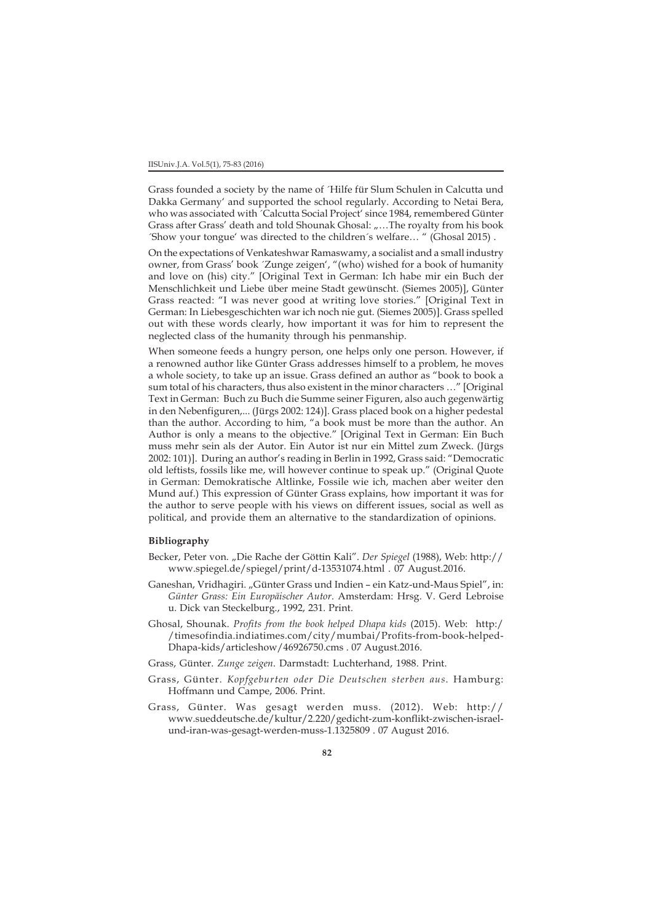Grass founded a society by the name of ´Hilfe für Slum Schulen in Calcutta und Dakka Germany' and supported the school regularly. According to Netai Bera, who was associated with ´Calcutta Social Project' since 1984, remembered Günter Grass after Grass' death and told Shounak Ghosal: "...The royalty from his book ´Show your tongue' was directed to the children´s welfare… " (Ghosal 2015) .

On the expectations of Venkateshwar Ramaswamy, a socialist and a small industry owner, from Grass' book ´Zunge zeigen', "(who) wished for a book of humanity and love on (his) city." [Original Text in German: Ich habe mir ein Buch der Menschlichkeit und Liebe über meine Stadt gewünscht. (Siemes 2005)], Günter Grass reacted: "I was never good at writing love stories." [Original Text in German: In Liebesgeschichten war ich noch nie gut. (Siemes 2005)]. Grass spelled out with these words clearly, how important it was for him to represent the neglected class of the humanity through his penmanship.

When someone feeds a hungry person, one helps only one person. However, if a renowned author like Günter Grass addresses himself to a problem, he moves a whole society, to take up an issue. Grass defined an author as "book to book a sum total of his characters, thus also existent in the minor characters …" [Original Text in German: Buch zu Buch die Summe seiner Figuren, also auch gegenwärtig in den Nebenfiguren,... (Jürgs 2002: 124)]. Grass placed book on a higher pedestal than the author. According to him, "a book must be more than the author. An Author is only a means to the objective." [Original Text in German: Ein Buch muss mehr sein als der Autor. Ein Autor ist nur ein Mittel zum Zweck. (Jürgs 2002: 101)]. During an author's reading in Berlin in 1992, Grass said: "Democratic old leftists, fossils like me, will however continue to speak up." (Original Quote in German: Demokratische Altlinke, Fossile wie ich, machen aber weiter den Mund auf.) This expression of Günter Grass explains, how important it was for the author to serve people with his views on different issues, social as well as political, and provide them an alternative to the standardization of opinions.

#### **Bibliography**

- Becker, Peter von. "Die Rache der Göttin Kali". *Der Spiegel* (1988), Web: http:// www.spiegel.de/spiegel/print/d-13531074.html . 07 August.2016.
- Ganeshan, Vridhagiri. "Günter Grass und Indien ein Katz-und-Maus Spiel", in: *Günter Grass: Ein Europäischer Autor*. Amsterdam: Hrsg. V. Gerd Lebroise u. Dick van Steckelburg., 1992, 231. Print.
- Ghosal, Shounak. *Profits from the book helped Dhapa kids* (2015). Web: http:/ /timesofindia.indiatimes.com/city/mumbai/Profits-from-book-helped-Dhapa-kids/articleshow/46926750.cms . 07 August.2016.
- Grass, Günter. *Zunge zeigen*. Darmstadt: Luchterhand, 1988. Print.
- Grass, Günter. *Kopfgeburten oder Die Deutschen sterben aus*. Hamburg: Hoffmann und Campe, 2006. Print.
- Grass, Günter. Was gesagt werden muss. (2012). Web: http:// www.sueddeutsche.de/kultur/2.220/gedicht-zum-konflikt-zwischen-israelund-iran-was-gesagt-werden-muss-1.1325809 . 07 August 2016.